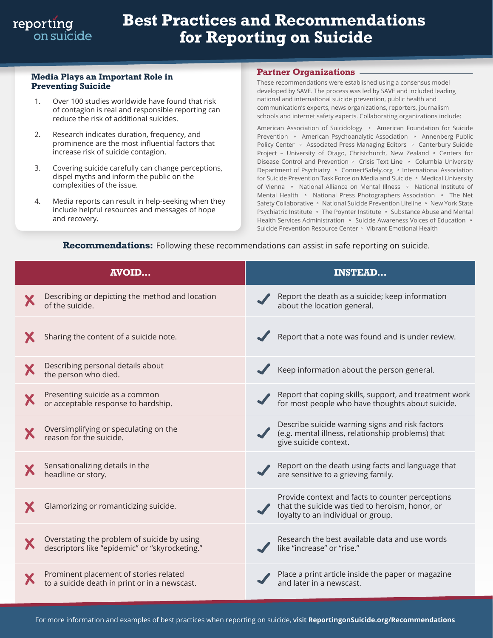# **Best Practices and Recommendations for Reporting on Suicide**

#### **Media Plays an Important Role in Preventing Suicide**

- 1. Over 100 studies worldwide have found that risk of contagion is real and responsible reporting can reduce the risk of additional suicides.
- 2. Research indicates duration, frequency, and prominence are the most influential factors that increase risk of suicide contagion.
- 3. Covering suicide carefully can change perceptions, dispel myths and inform the public on the complexities of the issue.
- 4. Media reports can result in help-seeking when they include helpful resources and messages of hope and recovery.

#### **Partner Organizations**

These recommendations were established using a consensus model developed by SAVE. The process was led by SAVE and included leading national and international suicide prevention, public health and communication's experts, news organizations, reporters, journalism schools and internet safety experts. Collaborating organizations include:

American Association of Suicidology • American Foundation for Suicide Prevention • American Psychoanalytic Association • Annenberg Public Policy Center • Associated Press Managing Editors • Canterbury Suicide Project - University of Otago, Christchurch, New Zealand • Centers for Disease Control and Prevention • Crisis Text Line • Columbia University Department of Psychiatry • ConnectSafely.org • International Association for Suicide Prevention Task Force on Media and Suicide • Medical University of Vienna • National Alliance on Mental Illness • National Institute of Mental Health • National Press Photographers Association • The Net Safety Collaborative · National Suicide Prevention Lifeline · New York State Psychiatric Institute • The Poynter Institute • Substance Abuse and Mental Health Services Administration • Suicide Awareness Voices of Education • Suicide Prevention Resource Center • Vibrant Emotional Health

| <b>AVOID</b>                                                                                  | <b>INSTEAD</b>                                                                                                                            |
|-----------------------------------------------------------------------------------------------|-------------------------------------------------------------------------------------------------------------------------------------------|
| Describing or depicting the method and location<br>of the suicide.                            | Report the death as a suicide; keep information<br>about the location general.                                                            |
| Sharing the content of a suicide note.                                                        | Report that a note was found and is under review.                                                                                         |
| Describing personal details about<br>the person who died.                                     | Keep information about the person general.                                                                                                |
| Presenting suicide as a common<br>or acceptable response to hardship.                         | Report that coping skills, support, and treatment work<br>for most people who have thoughts about suicide.                                |
| Oversimplifying or speculating on the<br>reason for the suicide.                              | Describe suicide warning signs and risk factors<br>(e.g. mental illness, relationship problems) that<br>give suicide context.             |
| Sensationalizing details in the<br>headline or story.                                         | Report on the death using facts and language that<br>are sensitive to a grieving family.                                                  |
| Glamorizing or romanticizing suicide.                                                         | Provide context and facts to counter perceptions<br>that the suicide was tied to heroism, honor, or<br>loyalty to an individual or group. |
| Overstating the problem of suicide by using<br>descriptors like "epidemic" or "skyrocketing." | Research the best available data and use words<br>like "increase" or "rise."                                                              |
| Prominent placement of stories related<br>to a suicide death in print or in a newscast.       | Place a print article inside the paper or magazine<br>and later in a newscast.                                                            |

### **Recommendations:** Following these recommendations can assist in safe reporting on suicide.